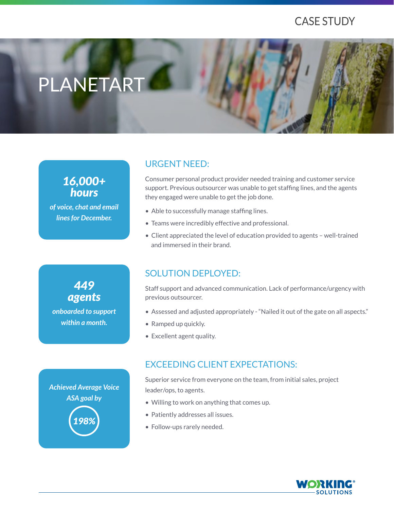# CASE STUDY

# PLANETART

## *16,000+ hours*

*of voice, chat and email lines for December.*

### URGENT NEED:

Consumer personal product provider needed training and customer service support. Previous outsourcer was unable to get staffing lines, and the agents they engaged were unable to get the job done.

- Able to successfully manage staffing lines.
- Teams were incredibly effective and professional.
- Client appreciated the level of education provided to agents well-trained and immersed in their brand.

*onboarded to support within a month. 449 agents*

## SOLUTION DEPLOYED:

Staff support and advanced communication. Lack of performance/urgency with previous outsourcer.

- Assessed and adjusted appropriately "Nailed it out of the gate on all aspects."
- Ramped up quickly.
- Excellent agent quality.

#### EXCEEDING CLIENT EXPECTATIONS:

Superior service from everyone on the team, from initial sales, project leader/ops, to agents.

- Willing to work on anything that comes up.
- Patiently addresses all issues.
- Follow-ups rarely needed.



*Achieved Average Voice ASA goal by 198%*